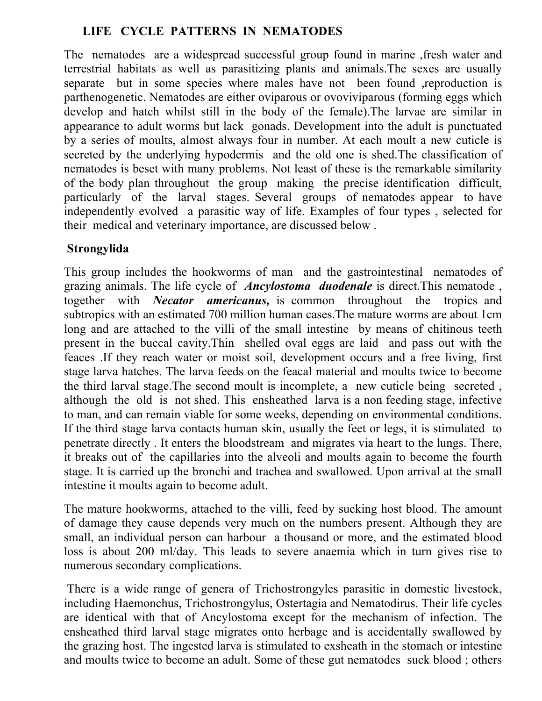## **LIFE CYCLE PATTERNS IN NEMATODES**

The nematodes are a widespread successful group found in marine ,fresh water and terrestrial habitats as well as parasitizing plants and animals.The sexes are usually separate but in some species where males have not been found ,reproduction is parthenogenetic. Nematodes are either oviparous or ovoviviparous (forming eggs which develop and hatch whilst still in the body of the female).The larvae are similar in appearance to adult worms but lack gonads. Development into the adult is punctuated by a series of moults, almost always four in number. At each moult a new cuticle is secreted by the underlying hypodermis and the old one is shed.The classification of nematodes is beset with many problems. Not least of these is the remarkable similarity of the body plan throughout the group making the precise identification difficult, particularly of the larval stages. Several groups of nematodes appear to have independently evolved a parasitic way of life. Examples of four types , selected for their medical and veterinary importance, are discussed below .

### **Strongylida**

This group includes the hookworms of man and the gastrointestinal nematodes of grazing animals. The life cycle of *Ancylostoma duodenale* is direct.This nematode , together with *Necator americanus,* is common throughout the tropics and subtropics with an estimated 700 million human cases.The mature worms are about 1cm long and are attached to the villi of the small intestine by means of chitinous teeth present in the buccal cavity.Thin shelled oval eggs are laid and pass out with the feaces .If they reach water or moist soil, development occurs and a free living, first stage larva hatches. The larva feeds on the feacal material and moults twice to become the third larval stage.The second moult is incomplete, a new cuticle being secreted , although the old is not shed. This ensheathed larva is a non feeding stage, infective to man, and can remain viable for some weeks, depending on environmental conditions. If the third stage larva contacts human skin, usually the feet or legs, it is stimulated to penetrate directly . It enters the bloodstream and migrates via heart to the lungs. There, it breaks out of the capillaries into the alveoli and moults again to become the fourth stage. It is carried up the bronchi and trachea and swallowed. Upon arrival at the small intestine it moults again to become adult.

The mature hookworms, attached to the villi, feed by sucking host blood. The amount of damage they cause depends very much on the numbers present. Although they are small, an individual person can harbour a thousand or more, and the estimated blood loss is about 200 ml/day. This leads to severe anaemia which in turn gives rise to numerous secondary complications.

There is a wide range of genera of Trichostrongyles parasitic in domestic livestock, including Haemonchus, Trichostrongylus, Ostertagia and Nematodirus. Their life cycles are identical with that of Ancylostoma except for the mechanism of infection. The ensheathed third larval stage migrates onto herbage and is accidentally swallowed by the grazing host. The ingested larva is stimulated to exsheath in the stomach or intestine and moults twice to become an adult. Some of these gut nematodes suck blood ; others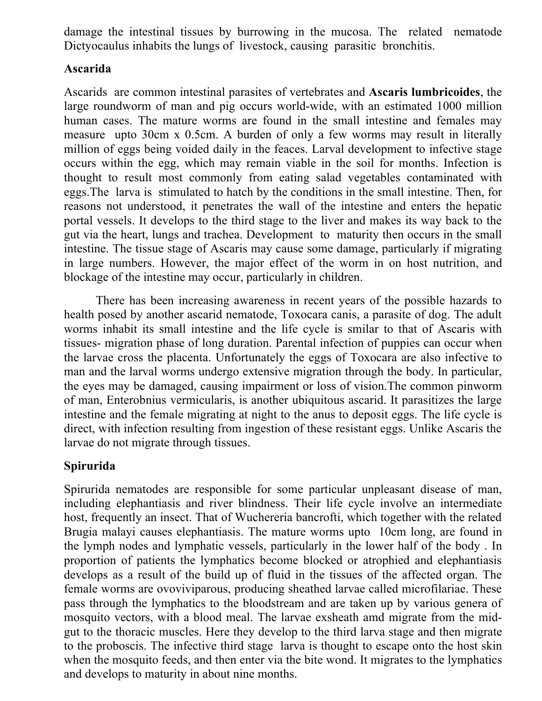damage the intestinal tissues by burrowing in the mucosa. The related nematode Dictyocaulus inhabits the lungs of livestock, causing parasitic bronchitis.

#### **Ascarida**

Ascarids are common intestinal parasites of vertebrates and **Ascaris lumbricoides**, the large roundworm of man and pig occurs world-wide, with an estimated 1000 million human cases. The mature worms are found in the small intestine and females may measure upto 30cm x 0.5cm. A burden of only a few worms may result in literally million of eggs being voided daily in the feaces. Larval development to infective stage occurs within the egg, which may remain viable in the soil for months. Infection is thought to result most commonly from eating salad vegetables contaminated with eggs.The larva is stimulated to hatch by the conditions in the small intestine. Then, for reasons not understood, it penetrates the wall of the intestine and enters the hepatic portal vessels. It develops to the third stage to the liver and makes its way back to the gut via the heart, lungs and trachea. Development to maturity then occurs in the small intestine. The tissue stage of Ascaris may cause some damage, particularly if migrating in large numbers. However, the major effect of the worm in on host nutrition, and blockage of the intestine may occur, particularly in children.

There has been increasing awareness in recent years of the possible hazards to health posed by another ascarid nematode, Toxocara canis, a parasite of dog. The adult worms inhabit its small intestine and the life cycle is smilar to that of Ascaris with tissues- migration phase of long duration. Parental infection of puppies can occur when the larvae cross the placenta. Unfortunately the eggs of Toxocara are also infective to man and the larval worms undergo extensive migration through the body. In particular, the eyes may be damaged, causing impairment or loss of vision.The common pinworm of man, Enterobnius vermicularis, is another ubiquitous ascarid. It parasitizes the large intestine and the female migrating at night to the anus to deposit eggs. The life cycle is direct, with infection resulting from ingestion of these resistant eggs. Unlike Ascaris the larvae do not migrate through tissues.

# **Spirurida**

Spirurida nematodes are responsible for some particular unpleasant disease of man, including elephantiasis and river blindness. Their life cycle involve an intermediate host, frequently an insect. That of Wuchereria bancrofti, which together with the related Brugia malayi causes elephantiasis. The mature worms upto 10cm long, are found in the lymph nodes and lymphatic vessels, particularly in the lower half of the body . In proportion of patients the lymphatics become blocked or atrophied and elephantiasis develops as a result of the build up of fluid in the tissues of the affected organ. The female worms are ovoviviparous, producing sheathed larvae called microfilariae. These pass through the lymphatics to the bloodstream and are taken up by various genera of mosquito vectors, with a blood meal. The larvae exsheath amd migrate from the midgut to the thoracic muscles. Here they develop to the third larva stage and then migrate to the proboscis. The infective third stage larva is thought to escape onto the host skin when the mosquito feeds, and then enter via the bite wond. It migrates to the lymphatics and develops to maturity in about nine months.